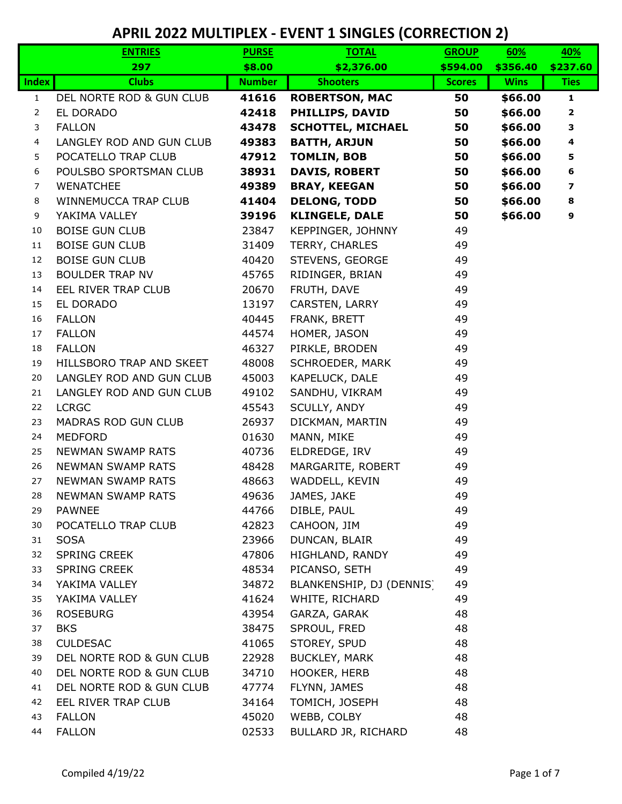|                | <b>ENTRIES</b>           | <b>PURSE</b>  | <b>TOTAL</b>             | <b>GROUP</b>  | 60%         | 40%                     |
|----------------|--------------------------|---------------|--------------------------|---------------|-------------|-------------------------|
|                | 297                      | \$8.00        | \$2,376.00               | \$594.00      | \$356.40    | \$237.60                |
| <b>Index</b>   | <b>Clubs</b>             | <b>Number</b> | <b>Shooters</b>          | <b>Scores</b> | <b>Wins</b> | <b>Ties</b>             |
| $\mathbf{1}$   | DEL NORTE ROD & GUN CLUB | 41616         | <b>ROBERTSON, MAC</b>    | 50            | \$66.00     | $\mathbf{1}$            |
| 2              | EL DORADO                | 42418         | PHILLIPS, DAVID          | 50            | \$66.00     | $\overline{\mathbf{2}}$ |
| 3              | <b>FALLON</b>            | 43478         | <b>SCHOTTEL, MICHAEL</b> | 50            | \$66.00     | 3                       |
| 4              | LANGLEY ROD AND GUN CLUB | 49383         | <b>BATTH, ARJUN</b>      | 50            | \$66.00     | 4                       |
| 5              | POCATELLO TRAP CLUB      | 47912         | <b>TOMLIN, BOB</b>       | 50            | \$66.00     | 5                       |
| 6              | POULSBO SPORTSMAN CLUB   | 38931         | <b>DAVIS, ROBERT</b>     | 50            | \$66.00     | 6                       |
| $\overline{7}$ | <b>WENATCHEE</b>         | 49389         | <b>BRAY, KEEGAN</b>      | 50            | \$66.00     | 7                       |
| 8              | WINNEMUCCA TRAP CLUB     | 41404         | <b>DELONG, TODD</b>      | 50            | \$66.00     | 8                       |
| 9              | YAKIMA VALLEY            | 39196         | <b>KLINGELE, DALE</b>    | 50            | \$66.00     | 9                       |
| 10             | <b>BOISE GUN CLUB</b>    | 23847         | KEPPINGER, JOHNNY        | 49            |             |                         |
| 11             | <b>BOISE GUN CLUB</b>    | 31409         | TERRY, CHARLES           | 49            |             |                         |
| 12             | <b>BOISE GUN CLUB</b>    | 40420         | STEVENS, GEORGE          | 49            |             |                         |
| 13             | <b>BOULDER TRAP NV</b>   | 45765         | RIDINGER, BRIAN          | 49            |             |                         |
| 14             | EEL RIVER TRAP CLUB      | 20670         | FRUTH, DAVE              | 49            |             |                         |
| 15             | EL DORADO                | 13197         | CARSTEN, LARRY           | 49            |             |                         |
| 16             | <b>FALLON</b>            | 40445         | FRANK, BRETT             | 49            |             |                         |
| 17             | <b>FALLON</b>            | 44574         | HOMER, JASON             | 49            |             |                         |
| 18             | <b>FALLON</b>            | 46327         | PIRKLE, BRODEN           | 49            |             |                         |
| 19             | HILLSBORO TRAP AND SKEET | 48008         | SCHROEDER, MARK          | 49            |             |                         |
| 20             | LANGLEY ROD AND GUN CLUB | 45003         | KAPELUCK, DALE           | 49            |             |                         |
| 21             | LANGLEY ROD AND GUN CLUB | 49102         | SANDHU, VIKRAM           | 49            |             |                         |
| 22             | <b>LCRGC</b>             | 45543         | SCULLY, ANDY             | 49            |             |                         |
| 23             | MADRAS ROD GUN CLUB      | 26937         | DICKMAN, MARTIN          | 49            |             |                         |
| 24             | <b>MEDFORD</b>           | 01630         | MANN, MIKE               | 49            |             |                         |
| 25             | <b>NEWMAN SWAMP RATS</b> | 40736         | ELDREDGE, IRV            | 49            |             |                         |
| 26             | NEWMAN SWAMP RATS        | 48428         | MARGARITE, ROBERT        | 49            |             |                         |
| 27             | <b>NEWMAN SWAMP RATS</b> | 48663         | WADDELL, KEVIN           | 49            |             |                         |
| 28             | <b>NEWMAN SWAMP RATS</b> | 49636         | JAMES, JAKE              | 49            |             |                         |
| 29             | <b>PAWNEE</b>            | 44766         | DIBLE, PAUL              | 49            |             |                         |
| 30             | POCATELLO TRAP CLUB      | 42823         | CAHOON, JIM              | 49            |             |                         |
| 31             | <b>SOSA</b>              | 23966         | DUNCAN, BLAIR            | 49            |             |                         |
| 32             | <b>SPRING CREEK</b>      | 47806         | HIGHLAND, RANDY          | 49            |             |                         |
| 33             | <b>SPRING CREEK</b>      | 48534         | PICANSO, SETH            | 49            |             |                         |
| 34             | YAKIMA VALLEY            | 34872         | BLANKENSHIP, DJ (DENNIS) | 49            |             |                         |
| 35             | YAKIMA VALLEY            | 41624         | WHITE, RICHARD           | 49            |             |                         |
| 36             | <b>ROSEBURG</b>          | 43954         | GARZA, GARAK             | 48            |             |                         |
| 37             | <b>BKS</b>               | 38475         | SPROUL, FRED             | 48            |             |                         |
| 38             | <b>CULDESAC</b>          | 41065         | STOREY, SPUD             | 48            |             |                         |
| 39             | DEL NORTE ROD & GUN CLUB | 22928         | <b>BUCKLEY, MARK</b>     | 48            |             |                         |
| 40             | DEL NORTE ROD & GUN CLUB | 34710         | HOOKER, HERB             | 48            |             |                         |
| 41             | DEL NORTE ROD & GUN CLUB | 47774         | FLYNN, JAMES             | 48            |             |                         |
| 42             | EEL RIVER TRAP CLUB      | 34164         | TOMICH, JOSEPH           | 48            |             |                         |
| 43             | <b>FALLON</b>            | 45020         | WEBB, COLBY              | 48            |             |                         |
| 44             | <b>FALLON</b>            | 02533         | BULLARD JR, RICHARD      | 48            |             |                         |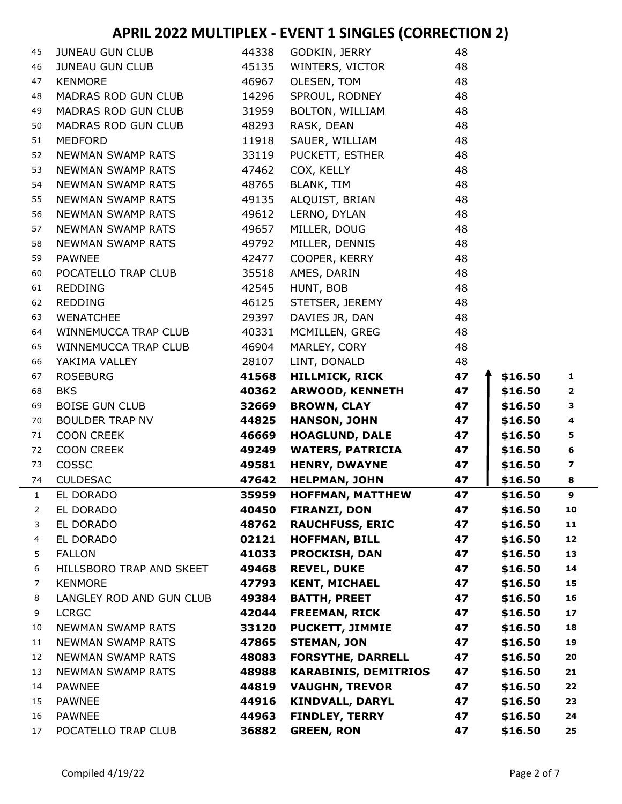| 45 | <b>JUNEAU GUN CLUB</b>   | 44338 | GODKIN, JERRY               | 48 |         |                         |
|----|--------------------------|-------|-----------------------------|----|---------|-------------------------|
| 46 | <b>JUNEAU GUN CLUB</b>   | 45135 | WINTERS, VICTOR             | 48 |         |                         |
| 47 | <b>KENMORE</b>           | 46967 | OLESEN, TOM                 | 48 |         |                         |
| 48 | MADRAS ROD GUN CLUB      | 14296 | SPROUL, RODNEY              | 48 |         |                         |
| 49 | MADRAS ROD GUN CLUB      | 31959 | BOLTON, WILLIAM             | 48 |         |                         |
| 50 | MADRAS ROD GUN CLUB      | 48293 | RASK, DEAN                  | 48 |         |                         |
| 51 | <b>MEDFORD</b>           | 11918 | SAUER, WILLIAM              | 48 |         |                         |
| 52 | <b>NEWMAN SWAMP RATS</b> | 33119 | PUCKETT, ESTHER             | 48 |         |                         |
| 53 | <b>NEWMAN SWAMP RATS</b> | 47462 | COX, KELLY                  | 48 |         |                         |
| 54 | NEWMAN SWAMP RATS        | 48765 | <b>BLANK, TIM</b>           | 48 |         |                         |
| 55 | NEWMAN SWAMP RATS        | 49135 | ALQUIST, BRIAN              | 48 |         |                         |
| 56 | <b>NEWMAN SWAMP RATS</b> | 49612 | LERNO, DYLAN                | 48 |         |                         |
| 57 | <b>NEWMAN SWAMP RATS</b> | 49657 | MILLER, DOUG                | 48 |         |                         |
| 58 | NEWMAN SWAMP RATS        | 49792 | MILLER, DENNIS              | 48 |         |                         |
| 59 | <b>PAWNEE</b>            | 42477 | COOPER, KERRY               | 48 |         |                         |
| 60 | POCATELLO TRAP CLUB      | 35518 | AMES, DARIN                 | 48 |         |                         |
| 61 | <b>REDDING</b>           | 42545 | HUNT, BOB                   | 48 |         |                         |
| 62 | <b>REDDING</b>           | 46125 | STETSER, JEREMY             | 48 |         |                         |
| 63 | <b>WENATCHEE</b>         | 29397 | DAVIES JR, DAN              | 48 |         |                         |
| 64 | WINNEMUCCA TRAP CLUB     | 40331 | MCMILLEN, GREG              | 48 |         |                         |
| 65 | WINNEMUCCA TRAP CLUB     | 46904 | MARLEY, CORY                | 48 |         |                         |
| 66 | YAKIMA VALLEY            | 28107 | LINT, DONALD                | 48 |         |                         |
| 67 | <b>ROSEBURG</b>          | 41568 | <b>HILLMICK, RICK</b>       | 47 | \$16.50 | 1                       |
| 68 | <b>BKS</b>               | 40362 | <b>ARWOOD, KENNETH</b>      | 47 | \$16.50 | $\overline{\mathbf{2}}$ |
| 69 | <b>BOISE GUN CLUB</b>    | 32669 | <b>BROWN, CLAY</b>          | 47 | \$16.50 | 3                       |
| 70 | <b>BOULDER TRAP NV</b>   | 44825 | <b>HANSON, JOHN</b>         | 47 | \$16.50 | $\overline{\mathbf{4}}$ |
| 71 | <b>COON CREEK</b>        | 46669 | <b>HOAGLUND, DALE</b>       | 47 | \$16.50 | 5                       |
| 72 | <b>COON CREEK</b>        | 49249 | <b>WATERS, PATRICIA</b>     | 47 | \$16.50 | 6                       |
| 73 | COSSC                    | 49581 | <b>HENRY, DWAYNE</b>        | 47 | \$16.50 | 7                       |
| 74 | <b>CULDESAC</b>          | 47642 | <b>HELPMAN, JOHN</b>        | 47 | \$16.50 | 8                       |
| 1  | EL DORADO                | 35959 | <b>HOFFMAN, MATTHEW</b>     | 47 | \$16.50 | 9                       |
| 2  | EL DORADO                | 40450 | <b>FIRANZI, DON</b>         | 47 | \$16.50 | 10                      |
| 3  | EL DORADO                | 48762 | <b>RAUCHFUSS, ERIC</b>      | 47 | \$16.50 | 11                      |
| 4  | EL DORADO                | 02121 | <b>HOFFMAN, BILL</b>        | 47 | \$16.50 | 12                      |
| 5. | <b>FALLON</b>            | 41033 | <b>PROCKISH, DAN</b>        | 47 | \$16.50 | 13                      |
| 6  | HILLSBORO TRAP AND SKEET | 49468 | <b>REVEL, DUKE</b>          | 47 | \$16.50 | 14                      |
| 7  | <b>KENMORE</b>           | 47793 | <b>KENT, MICHAEL</b>        | 47 | \$16.50 | 15                      |
| 8  | LANGLEY ROD AND GUN CLUB | 49384 | <b>BATTH, PREET</b>         | 47 | \$16.50 | 16                      |
| 9  | <b>LCRGC</b>             | 42044 | <b>FREEMAN, RICK</b>        | 47 | \$16.50 | 17                      |
| 10 | <b>NEWMAN SWAMP RATS</b> | 33120 | <b>PUCKETT, JIMMIE</b>      | 47 | \$16.50 | 18                      |
| 11 | <b>NEWMAN SWAMP RATS</b> | 47865 | <b>STEMAN, JON</b>          | 47 | \$16.50 | 19                      |
| 12 | NEWMAN SWAMP RATS        | 48083 | <b>FORSYTHE, DARRELL</b>    | 47 | \$16.50 | 20                      |
| 13 | <b>NEWMAN SWAMP RATS</b> | 48988 | <b>KARABINIS, DEMITRIOS</b> | 47 | \$16.50 | 21                      |
| 14 | <b>PAWNEE</b>            | 44819 | <b>VAUGHN, TREVOR</b>       | 47 | \$16.50 | 22                      |
| 15 | <b>PAWNEE</b>            | 44916 | <b>KINDVALL, DARYL</b>      | 47 | \$16.50 | 23                      |
| 16 | <b>PAWNEE</b>            | 44963 | <b>FINDLEY, TERRY</b>       | 47 | \$16.50 | 24                      |
| 17 | POCATELLO TRAP CLUB      | 36882 | <b>GREEN, RON</b>           | 47 | \$16.50 | 25                      |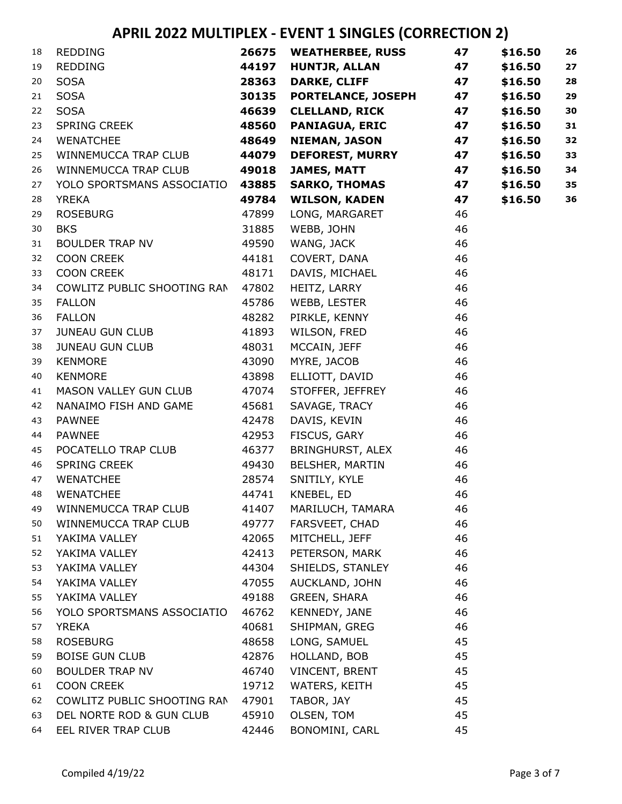| 18 | REDDING                          |       | 26675 WEATHERBEE, RUSS    | 47 | \$16.50 | 26 |
|----|----------------------------------|-------|---------------------------|----|---------|----|
| 19 | <b>REDDING</b>                   | 44197 | <b>HUNTJR, ALLAN</b>      | 47 | \$16.50 | 27 |
| 20 | <b>SOSA</b>                      | 28363 | <b>DARKE, CLIFF</b>       | 47 | \$16.50 | 28 |
| 21 | <b>SOSA</b>                      | 30135 | <b>PORTELANCE, JOSEPH</b> | 47 | \$16.50 | 29 |
| 22 | <b>SOSA</b>                      | 46639 | <b>CLELLAND, RICK</b>     | 47 | \$16.50 | 30 |
| 23 | SPRING CREEK                     | 48560 | <b>PANIAGUA, ERIC</b>     | 47 | \$16.50 | 31 |
| 24 | <b>WENATCHEE</b>                 | 48649 | NIEMAN, JASON             | 47 | \$16.50 | 32 |
| 25 | WINNEMUCCA TRAP CLUB             | 44079 | <b>DEFOREST, MURRY</b>    | 47 | \$16.50 | 33 |
| 26 | WINNEMUCCA TRAP CLUB             | 49018 | <b>JAMES, MATT</b>        | 47 | \$16.50 | 34 |
| 27 | YOLO SPORTSMANS ASSOCIATIO 43885 |       | <b>SARKO, THOMAS</b>      | 47 | \$16.50 | 35 |
| 28 | <b>YREKA</b>                     | 49784 | <b>WILSON, KADEN</b>      | 47 | \$16.50 | 36 |
| 29 | <b>ROSEBURG</b>                  | 47899 | LONG, MARGARET            | 46 |         |    |
| 30 | <b>BKS</b>                       | 31885 | WEBB, JOHN                | 46 |         |    |
| 31 | BOULDER TRAP NV                  | 49590 | WANG, JACK                | 46 |         |    |
| 32 | <b>COON CREEK</b>                | 44181 | COVERT, DANA              | 46 |         |    |
| 33 | <b>COON CREEK</b>                | 48171 | DAVIS, MICHAEL            | 46 |         |    |
| 34 | COWLITZ PUBLIC SHOOTING RAN      | 47802 | HEITZ, LARRY              | 46 |         |    |
| 35 | <b>FALLON</b>                    | 45786 | WEBB, LESTER              | 46 |         |    |
| 36 | <b>FALLON</b>                    | 48282 | PIRKLE, KENNY             | 46 |         |    |
| 37 | JUNEAU GUN CLUB                  | 41893 | WILSON, FRED              | 46 |         |    |
| 38 | JUNEAU GUN CLUB                  | 48031 | MCCAIN, JEFF              | 46 |         |    |
| 39 | <b>KENMORE</b>                   | 43090 | MYRE, JACOB               | 46 |         |    |
| 40 | <b>KENMORE</b>                   | 43898 | ELLIOTT, DAVID            | 46 |         |    |
| 41 | MASON VALLEY GUN CLUB            | 47074 | STOFFER, JEFFREY          | 46 |         |    |
| 42 | NANAIMO FISH AND GAME            | 45681 | SAVAGE, TRACY             | 46 |         |    |
| 43 | <b>PAWNEE</b>                    | 42478 | DAVIS, KEVIN              | 46 |         |    |
| 44 | <b>PAWNEE</b>                    | 42953 | FISCUS, GARY              | 46 |         |    |
| 45 | POCATELLO TRAP CLUB              | 46377 | BRINGHURST, ALEX          | 46 |         |    |
| 46 | SPRING CREEK                     | 49430 | BELSHER, MARTIN           | 46 |         |    |
| 47 | <b>WENATCHEE</b>                 | 28574 | SNITILY, KYLE             | 46 |         |    |
| 48 | <b>WENATCHEE</b>                 | 44741 | KNEBEL, ED                | 46 |         |    |
| 49 | WINNEMUCCA TRAP CLUB             | 41407 | MARILUCH, TAMARA          | 46 |         |    |
| 50 | WINNEMUCCA TRAP CLUB             | 49777 | FARSVEET, CHAD            | 46 |         |    |
| 51 | YAKIMA VALLEY                    | 42065 | MITCHELL, JEFF            | 46 |         |    |
| 52 | YAKIMA VALLEY                    | 42413 | PETERSON, MARK            | 46 |         |    |
| 53 | YAKIMA VALLEY                    | 44304 | SHIELDS, STANLEY          | 46 |         |    |
| 54 | YAKIMA VALLEY                    | 47055 | AUCKLAND, JOHN            | 46 |         |    |
| 55 | YAKIMA VALLEY                    | 49188 | GREEN, SHARA              | 46 |         |    |
| 56 | YOLO SPORTSMANS ASSOCIATIO       | 46762 | KENNEDY, JANE             | 46 |         |    |
| 57 | <b>YREKA</b>                     | 40681 | SHIPMAN, GREG             | 46 |         |    |
| 58 | <b>ROSEBURG</b>                  | 48658 | LONG, SAMUEL              | 45 |         |    |
| 59 | <b>BOISE GUN CLUB</b>            | 42876 | HOLLAND, BOB              | 45 |         |    |
| 60 | <b>BOULDER TRAP NV</b>           | 46740 | VINCENT, BRENT            | 45 |         |    |
| 61 | <b>COON CREEK</b>                | 19712 | WATERS, KEITH             | 45 |         |    |
| 62 | COWLITZ PUBLIC SHOOTING RAN      | 47901 | TABOR, JAY                | 45 |         |    |
| 63 | DEL NORTE ROD & GUN CLUB         | 45910 | OLSEN, TOM                | 45 |         |    |
| 64 | EEL RIVER TRAP CLUB              | 42446 | BONOMINI, CARL            | 45 |         |    |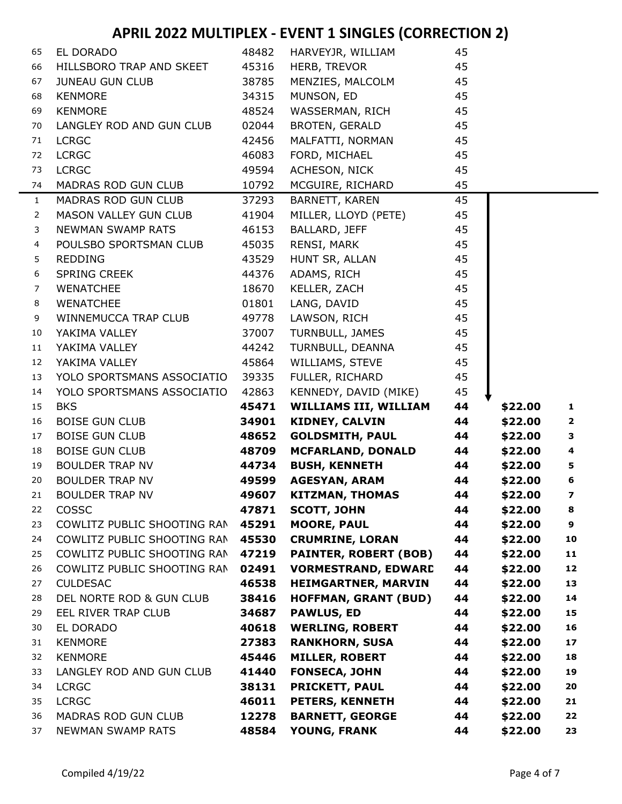| 65             | EL DORADO                   | 48482 | HARVEYJR, WILLIAM            | 45 |         |                         |
|----------------|-----------------------------|-------|------------------------------|----|---------|-------------------------|
| 66             | HILLSBORO TRAP AND SKEET    | 45316 | HERB, TREVOR                 | 45 |         |                         |
| 67             | JUNEAU GUN CLUB             | 38785 | MENZIES, MALCOLM             | 45 |         |                         |
| 68             | <b>KENMORE</b>              | 34315 | MUNSON, ED                   | 45 |         |                         |
| 69             | <b>KENMORE</b>              | 48524 | WASSERMAN, RICH              | 45 |         |                         |
| 70             | LANGLEY ROD AND GUN CLUB    | 02044 | BROTEN, GERALD               | 45 |         |                         |
| 71             | <b>LCRGC</b>                | 42456 | MALFATTI, NORMAN             | 45 |         |                         |
| 72             | <b>LCRGC</b>                | 46083 | FORD, MICHAEL                | 45 |         |                         |
| 73             | <b>LCRGC</b>                | 49594 | ACHESON, NICK                | 45 |         |                         |
| 74             | MADRAS ROD GUN CLUB         | 10792 | MCGUIRE, RICHARD             | 45 |         |                         |
| $\mathbf{1}$   | MADRAS ROD GUN CLUB         | 37293 | <b>BARNETT, KAREN</b>        | 45 |         |                         |
| $\overline{2}$ | MASON VALLEY GUN CLUB       | 41904 | MILLER, LLOYD (PETE)         | 45 |         |                         |
| 3              | <b>NEWMAN SWAMP RATS</b>    | 46153 | BALLARD, JEFF                | 45 |         |                         |
| 4              | POULSBO SPORTSMAN CLUB      | 45035 | RENSI, MARK                  | 45 |         |                         |
| 5              | REDDING                     | 43529 | HUNT SR, ALLAN               | 45 |         |                         |
| 6              | <b>SPRING CREEK</b>         | 44376 | ADAMS, RICH                  | 45 |         |                         |
| $\overline{7}$ | <b>WENATCHEE</b>            | 18670 | KELLER, ZACH                 | 45 |         |                         |
| 8              | <b>WENATCHEE</b>            | 01801 | LANG, DAVID                  | 45 |         |                         |
| 9              | WINNEMUCCA TRAP CLUB        | 49778 | LAWSON, RICH                 | 45 |         |                         |
| 10             | YAKIMA VALLEY               | 37007 | TURNBULL, JAMES              | 45 |         |                         |
| 11             | YAKIMA VALLEY               | 44242 | TURNBULL, DEANNA             | 45 |         |                         |
| 12             | YAKIMA VALLEY               | 45864 | WILLIAMS, STEVE              | 45 |         |                         |
| 13             | YOLO SPORTSMANS ASSOCIATIO  | 39335 | FULLER, RICHARD              | 45 |         |                         |
| 14             | YOLO SPORTSMANS ASSOCIATIO  | 42863 | KENNEDY, DAVID (MIKE)        | 45 |         |                         |
| 15             | <b>BKS</b>                  | 45471 | <b>WILLIAMS III, WILLIAM</b> | 44 | \$22.00 | $\mathbf{1}$            |
| 16             | <b>BOISE GUN CLUB</b>       | 34901 | <b>KIDNEY, CALVIN</b>        | 44 | \$22.00 | $\overline{\mathbf{2}}$ |
| 17             | <b>BOISE GUN CLUB</b>       | 48652 | <b>GOLDSMITH, PAUL</b>       | 44 | \$22.00 | 3                       |
| 18             | <b>BOISE GUN CLUB</b>       | 48709 | <b>MCFARLAND, DONALD</b>     | 44 | \$22.00 | $\overline{\mathbf{4}}$ |
| 19             | BOULDER TRAP NV             | 44734 | <b>BUSH, KENNETH</b>         | 44 | \$22.00 | $\overline{\mathbf{5}}$ |
| 20             | <b>BOULDER TRAP NV</b>      | 49599 | <b>AGESYAN, ARAM</b>         | 44 | \$22.00 | 6                       |
| 21             | <b>BOULDER TRAP NV</b>      | 49607 | KITZMAN, THOMAS              | 44 | \$22.00 | $\boldsymbol{7}$        |
| 22             | <b>COSSC</b>                | 47871 | <b>SCOTT, JOHN</b>           | 44 | \$22.00 | 8                       |
| 23             | COWLITZ PUBLIC SHOOTING RAN | 45291 | <b>MOORE, PAUL</b>           | 44 | \$22.00 | 9                       |
| 24             | COWLITZ PUBLIC SHOOTING RAN | 45530 | <b>CRUMRINE, LORAN</b>       | 44 | \$22.00 | 10                      |
| 25             | COWLITZ PUBLIC SHOOTING RAN | 47219 | <b>PAINTER, ROBERT (BOB)</b> | 44 | \$22.00 | 11                      |
| 26             | COWLITZ PUBLIC SHOOTING RAN | 02491 | <b>VORMESTRAND, EDWARD</b>   | 44 | \$22.00 | 12                      |
| 27             | <b>CULDESAC</b>             | 46538 | <b>HEIMGARTNER, MARVIN</b>   | 44 | \$22.00 | 13                      |
| 28             | DEL NORTE ROD & GUN CLUB    | 38416 | <b>HOFFMAN, GRANT (BUD)</b>  | 44 | \$22.00 | 14                      |
| 29             | EEL RIVER TRAP CLUB         | 34687 | <b>PAWLUS, ED</b>            | 44 | \$22.00 | 15                      |
| 30             | EL DORADO                   | 40618 | <b>WERLING, ROBERT</b>       | 44 | \$22.00 | 16                      |
| 31             | <b>KENMORE</b>              | 27383 | <b>RANKHORN, SUSA</b>        | 44 | \$22.00 | 17                      |
| 32             | <b>KENMORE</b>              | 45446 | <b>MILLER, ROBERT</b>        | 44 | \$22.00 | 18                      |
| 33             | LANGLEY ROD AND GUN CLUB    | 41440 | <b>FONSECA, JOHN</b>         | 44 | \$22.00 | 19                      |
| 34             | <b>LCRGC</b>                | 38131 | <b>PRICKETT, PAUL</b>        | 44 | \$22.00 | 20                      |
| 35             | <b>LCRGC</b>                | 46011 | PETERS, KENNETH              | 44 | \$22.00 | 21                      |
| 36             | MADRAS ROD GUN CLUB         | 12278 | <b>BARNETT, GEORGE</b>       | 44 | \$22.00 | 22                      |
| 37             | <b>NEWMAN SWAMP RATS</b>    | 48584 | <b>YOUNG, FRANK</b>          | 44 | \$22.00 | 23                      |
|                |                             |       |                              |    |         |                         |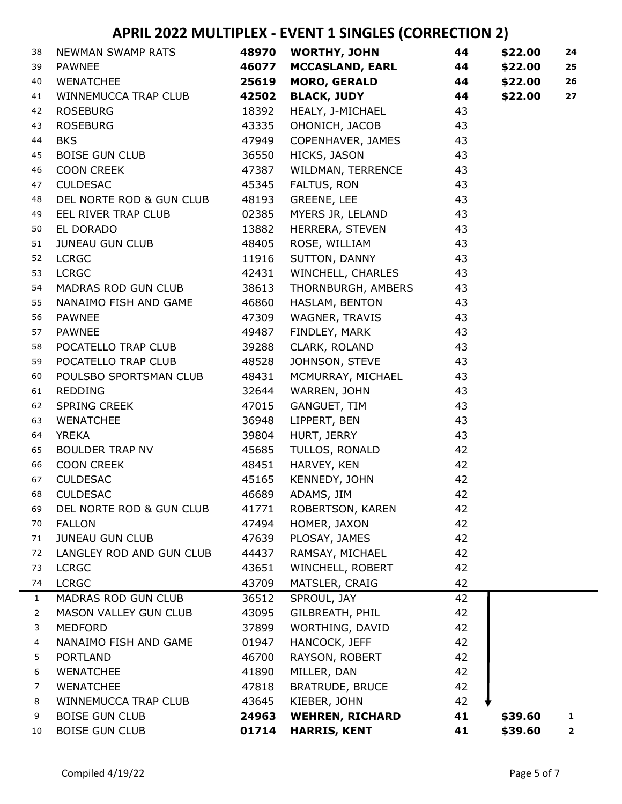| 38             | NEWMAN SWAMP RATS        | 48970 | <b>WORTHY, JOHN</b>     | 44 | \$22.00 | 24                      |
|----------------|--------------------------|-------|-------------------------|----|---------|-------------------------|
| 39             | <b>PAWNEE</b>            | 46077 | <b>MCCASLAND, EARL</b>  | 44 | \$22.00 | 25                      |
| 40             | <b>WENATCHEE</b>         | 25619 | <b>MORO, GERALD</b>     | 44 | \$22.00 | 26                      |
| 41             | WINNEMUCCA TRAP CLUB     | 42502 | <b>BLACK, JUDY</b>      | 44 | \$22.00 | 27                      |
| 42             | <b>ROSEBURG</b>          | 18392 | <b>HEALY, J-MICHAEL</b> | 43 |         |                         |
| 43             | <b>ROSEBURG</b>          | 43335 | OHONICH, JACOB          | 43 |         |                         |
| 44             | <b>BKS</b>               | 47949 | COPENHAVER, JAMES       | 43 |         |                         |
| 45             | <b>BOISE GUN CLUB</b>    | 36550 | HICKS, JASON            | 43 |         |                         |
| 46             | <b>COON CREEK</b>        | 47387 | WILDMAN, TERRENCE       | 43 |         |                         |
| 47             | <b>CULDESAC</b>          | 45345 | FALTUS, RON             | 43 |         |                         |
| 48             | DEL NORTE ROD & GUN CLUB | 48193 | GREENE, LEE             | 43 |         |                         |
| 49             | EEL RIVER TRAP CLUB      | 02385 | MYERS JR, LELAND        | 43 |         |                         |
| 50             | EL DORADO                | 13882 | HERRERA, STEVEN         | 43 |         |                         |
| 51             | <b>JUNEAU GUN CLUB</b>   | 48405 | ROSE, WILLIAM           | 43 |         |                         |
| 52             | <b>LCRGC</b>             | 11916 | SUTTON, DANNY           | 43 |         |                         |
| 53             | <b>LCRGC</b>             | 42431 | WINCHELL, CHARLES       | 43 |         |                         |
| 54             | MADRAS ROD GUN CLUB      | 38613 | THORNBURGH, AMBERS      | 43 |         |                         |
| 55             | NANAIMO FISH AND GAME    | 46860 | HASLAM, BENTON          | 43 |         |                         |
| 56             | <b>PAWNEE</b>            | 47309 | WAGNER, TRAVIS          | 43 |         |                         |
| 57             | <b>PAWNEE</b>            | 49487 | FINDLEY, MARK           | 43 |         |                         |
| 58             | POCATELLO TRAP CLUB      | 39288 | CLARK, ROLAND           | 43 |         |                         |
| 59             | POCATELLO TRAP CLUB      | 48528 | JOHNSON, STEVE          | 43 |         |                         |
| 60             | POULSBO SPORTSMAN CLUB   | 48431 | MCMURRAY, MICHAEL       | 43 |         |                         |
| 61             | <b>REDDING</b>           | 32644 | WARREN, JOHN            | 43 |         |                         |
| 62             | SPRING CREEK             | 47015 | GANGUET, TIM            | 43 |         |                         |
| 63             | <b>WENATCHEE</b>         | 36948 | LIPPERT, BEN            | 43 |         |                         |
| 64             | <b>YREKA</b>             | 39804 | HURT, JERRY             | 43 |         |                         |
| 65             | BOULDER TRAP NV          | 45685 | TULLOS, RONALD          | 42 |         |                         |
| 66             | <b>COON CREEK</b>        | 48451 | HARVEY, KEN             | 42 |         |                         |
| 67             | <b>CULDESAC</b>          | 45165 | KENNEDY, JOHN           | 42 |         |                         |
| 68             | <b>CULDESAC</b>          | 46689 | ADAMS, JIM              | 42 |         |                         |
| 69             | DEL NORTE ROD & GUN CLUB | 41771 | ROBERTSON, KAREN        | 42 |         |                         |
| 70             | <b>FALLON</b>            | 47494 | HOMER, JAXON            | 42 |         |                         |
| 71             | <b>JUNEAU GUN CLUB</b>   | 47639 | PLOSAY, JAMES           | 42 |         |                         |
| 72             | LANGLEY ROD AND GUN CLUB | 44437 | RAMSAY, MICHAEL         | 42 |         |                         |
| 73             | <b>LCRGC</b>             | 43651 | WINCHELL, ROBERT        | 42 |         |                         |
| 74             | <b>LCRGC</b>             | 43709 | MATSLER, CRAIG          | 42 |         |                         |
| $\mathbf{1}$   | MADRAS ROD GUN CLUB      | 36512 | SPROUL, JAY             | 42 |         |                         |
| $\overline{2}$ | MASON VALLEY GUN CLUB    | 43095 | GILBREATH, PHIL         | 42 |         |                         |
| 3              | <b>MEDFORD</b>           | 37899 | WORTHING, DAVID         | 42 |         |                         |
| 4              | NANAIMO FISH AND GAME    | 01947 | HANCOCK, JEFF           | 42 |         |                         |
| 5              | <b>PORTLAND</b>          | 46700 | RAYSON, ROBERT          | 42 |         |                         |
| 6              | <b>WENATCHEE</b>         | 41890 | MILLER, DAN             | 42 |         |                         |
| 7              | <b>WENATCHEE</b>         | 47818 | <b>BRATRUDE, BRUCE</b>  | 42 |         |                         |
| 8              | WINNEMUCCA TRAP CLUB     | 43645 | KIEBER, JOHN            | 42 |         |                         |
| 9              | <b>BOISE GUN CLUB</b>    | 24963 | <b>WEHREN, RICHARD</b>  | 41 | \$39.60 | 1                       |
| 10             | <b>BOISE GUN CLUB</b>    | 01714 | <b>HARRIS, KENT</b>     | 41 | \$39.60 | $\overline{\mathbf{2}}$ |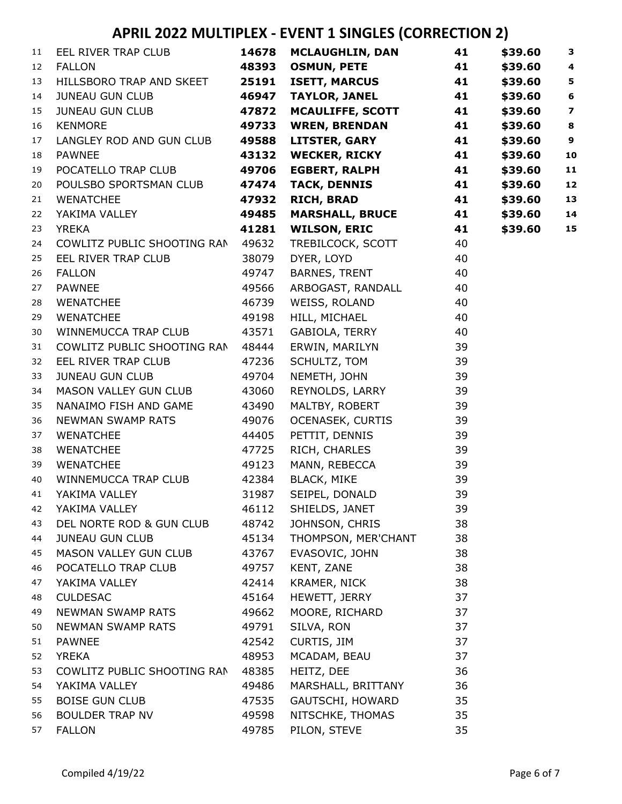| 11 | EEL RIVER TRAP CLUB         | 14678 | <b>MCLAUGHLIN, DAN</b>  | 41 | \$39.60 | $\mathbf{3}$            |
|----|-----------------------------|-------|-------------------------|----|---------|-------------------------|
| 12 | <b>FALLON</b>               | 48393 | <b>OSMUN, PETE</b>      | 41 | \$39.60 | $\overline{\mathbf{4}}$ |
| 13 | HILLSBORO TRAP AND SKEET    | 25191 | <b>ISETT, MARCUS</b>    | 41 | \$39.60 | 5                       |
| 14 | <b>JUNEAU GUN CLUB</b>      | 46947 | <b>TAYLOR, JANEL</b>    | 41 | \$39.60 | $\bf 6$                 |
| 15 | <b>JUNEAU GUN CLUB</b>      | 47872 | <b>MCAULIFFE, SCOTT</b> | 41 | \$39.60 | $\overline{\mathbf{z}}$ |
| 16 | <b>KENMORE</b>              | 49733 | <b>WREN, BRENDAN</b>    | 41 | \$39.60 | $\bf8$                  |
| 17 | LANGLEY ROD AND GUN CLUB    | 49588 | <b>LITSTER, GARY</b>    | 41 | \$39.60 | $\boldsymbol{9}$        |
| 18 | <b>PAWNEE</b>               | 43132 | <b>WECKER, RICKY</b>    | 41 | \$39.60 | 10                      |
| 19 | POCATELLO TRAP CLUB         | 49706 | <b>EGBERT, RALPH</b>    | 41 | \$39.60 | 11                      |
| 20 | POULSBO SPORTSMAN CLUB      | 47474 | <b>TACK, DENNIS</b>     | 41 | \$39.60 | 12                      |
| 21 | <b>WENATCHEE</b>            | 47932 | <b>RICH, BRAD</b>       | 41 | \$39.60 | 13                      |
| 22 | YAKIMA VALLEY               | 49485 | <b>MARSHALL, BRUCE</b>  | 41 | \$39.60 | 14                      |
| 23 | <b>YREKA</b>                | 41281 | <b>WILSON, ERIC</b>     | 41 | \$39.60 | 15                      |
| 24 | COWLITZ PUBLIC SHOOTING RAN | 49632 | TREBILCOCK, SCOTT       | 40 |         |                         |
| 25 | EEL RIVER TRAP CLUB         | 38079 | DYER, LOYD              | 40 |         |                         |
| 26 | <b>FALLON</b>               | 49747 | BARNES, TRENT           | 40 |         |                         |
| 27 | <b>PAWNEE</b>               | 49566 | ARBOGAST, RANDALL       | 40 |         |                         |
| 28 | WENATCHEE                   | 46739 | WEISS, ROLAND           | 40 |         |                         |
| 29 | <b>WENATCHEE</b>            | 49198 | HILL, MICHAEL           | 40 |         |                         |
| 30 | WINNEMUCCA TRAP CLUB        | 43571 | GABIOLA, TERRY          | 40 |         |                         |
| 31 | COWLITZ PUBLIC SHOOTING RAN | 48444 | ERWIN, MARILYN          | 39 |         |                         |
| 32 | EEL RIVER TRAP CLUB         | 47236 | SCHULTZ, TOM            | 39 |         |                         |
| 33 | <b>JUNEAU GUN CLUB</b>      | 49704 | NEMETH, JOHN            | 39 |         |                         |
| 34 | MASON VALLEY GUN CLUB       | 43060 | REYNOLDS, LARRY         | 39 |         |                         |
| 35 | NANAIMO FISH AND GAME       | 43490 | MALTBY, ROBERT          | 39 |         |                         |
| 36 | <b>NEWMAN SWAMP RATS</b>    | 49076 | <b>OCENASEK, CURTIS</b> | 39 |         |                         |
| 37 | WENATCHEE                   | 44405 | PETTIT, DENNIS          | 39 |         |                         |
| 38 | WENATCHEE                   | 47725 | RICH, CHARLES           | 39 |         |                         |
| 39 | <b>WENATCHEE</b>            | 49123 | MANN, REBECCA           | 39 |         |                         |
| 40 | WINNEMUCCA TRAP CLUB        | 42384 | <b>BLACK, MIKE</b>      | 39 |         |                         |
| 41 | YAKIMA VALLEY               | 31987 | SEIPEL, DONALD          | 39 |         |                         |
| 42 | YAKIMA VALLEY               | 46112 | SHIELDS, JANET          | 39 |         |                         |
| 43 | DEL NORTE ROD & GUN CLUB    | 48742 | JOHNSON, CHRIS          | 38 |         |                         |
| 44 | <b>JUNEAU GUN CLUB</b>      | 45134 | THOMPSON, MER'CHANT     | 38 |         |                         |
| 45 | MASON VALLEY GUN CLUB       | 43767 | EVASOVIC, JOHN          | 38 |         |                         |
| 46 | POCATELLO TRAP CLUB         | 49757 | KENT, ZANE              | 38 |         |                         |
| 47 | YAKIMA VALLEY               | 42414 | KRAMER, NICK            | 38 |         |                         |
| 48 | <b>CULDESAC</b>             | 45164 | HEWETT, JERRY           | 37 |         |                         |
| 49 | NEWMAN SWAMP RATS           | 49662 | MOORE, RICHARD          | 37 |         |                         |
| 50 | NEWMAN SWAMP RATS           | 49791 | SILVA, RON              | 37 |         |                         |
| 51 | <b>PAWNEE</b>               | 42542 | CURTIS, JIM             | 37 |         |                         |
| 52 | <b>YREKA</b>                | 48953 | MCADAM, BEAU            | 37 |         |                         |
| 53 | COWLITZ PUBLIC SHOOTING RAN | 48385 | HEITZ, DEE              | 36 |         |                         |
| 54 | YAKIMA VALLEY               | 49486 | MARSHALL, BRITTANY      | 36 |         |                         |
| 55 | <b>BOISE GUN CLUB</b>       | 47535 | GAUTSCHI, HOWARD        | 35 |         |                         |
| 56 | <b>BOULDER TRAP NV</b>      | 49598 | NITSCHKE, THOMAS        | 35 |         |                         |
| 57 | <b>FALLON</b>               | 49785 | PILON, STEVE            | 35 |         |                         |